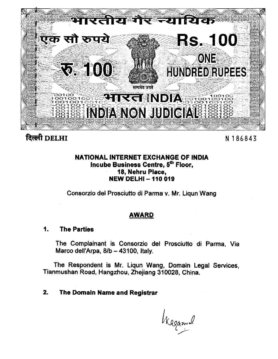

# दिल्ली DELHI

N 186843

# NATIONAL INTERNET EXCHANGE OF INDIA Incube Business Centre, 5th Floor, 18, Nehru Place, **NEW DELHI - 110 019**

Consorzio del Prosciutto di Parma v. Mr. Liqun Wang

# **AWARD**

#### 1. **The Parties**

The Complainant is Consorzio del Prosciutto di Parma, Via Marco dell'Arpa, 8/b - 43100, Italy.

The Respondent is Mr. Liqun Wang, Domain Legal Services, Tianmushan Road, Hangzhou, Zhejiang 310028, China.

#### $2.$ The Domain Name and Registrar

Wagand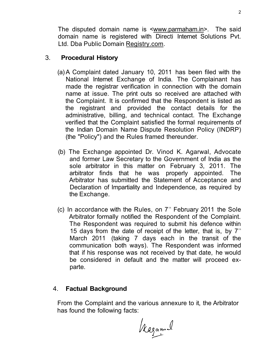The disputed domain name is [<www.parmaham.in>.](http://www.parmaham.in) The said domain name is registered with Directi Internet Solutions Pvt. Ltd. Dba Public Domain [Registry.com.](http://Registry.com)

# 3. **Procedural History**

- (a) A Complaint dated January 10, 2011 has been filed with the National Internet Exchange of India. The Complainant has made the registrar verification in connection with the domain name at issue. The print outs so received are attached with the Complaint. It is confirmed that the Respondent is listed as the registrant and provided the contact details for the administrative, billing, and technical contact. The Exchange verified that the Complaint satisfied the formal requirements of the Indian Domain Name Dispute Resolution Policy (INDRP) (the "Policy") and the Rules framed thereunder.
- (b) The Exchange appointed Dr. Vinod K. Agarwal, Advocate and former Law Secretary to the Government of India as the sole arbitrator in this matter on February 3, 2011. The arbitrator finds that he was properly appointed. The Arbitrator has submitted the Statement of Acceptance and Declaration of Impartiality and Independence, as required by the Exchange.
- (c) In accordance with the Rules, on  $7<sup>th</sup>$  February 2011 the Sole Arbitrator formally notified the Respondent of the Complaint. The Respondent was required to submit his defence within 15 days from the date of receipt of the letter, that is, by  $7<sup>th</sup>$ March 2011 (taking 7 days each in the transit of the communication both ways). The Respondent was informed that if his response was not received by that date, he would be considered in default and the matter will proceed exparte.

# 4. **Factual Background**

From the Complaint and the various annexure to it, the Arbitrator has found the following facts:

Kagamel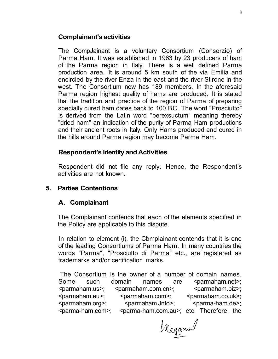### **Complainant's activities**

The CompJainant is a voluntary Consortium (Consorzio) of Parma Ham. It was established in 1963 by 23 producers of ham of the Parma region in Italy. There is a well defined Parma production area. It is around 5 km south of the via Emilia and encircled by the river Enza in the east and the river Stirone in the west. The Consortium now has 189 members. In the aforesaid Parma region highest quality of hams are produced. It is stated that the tradition and practice of the region of Parma of preparing specially cured ham dates back to 100 BC. The word "Prosciutto" is derived from the Latin word "perexsuctum" meaning thereby "dried ham" an indication of the purity of Parma Ham productions and their ancient roots in Italy. Only Hams produced and cured in the hills around Parma region may become Parma Ham.

### **Respondent's Identity and Activities**

Respondent did not file any reply. Hence, the Respondent's activities are not known.

#### **5. Parties Contentions**

#### **A. Complainant**

The Complainant contends that each of the elements specified in the Policy are applicable to this dispute.

In relation to element (i), the Cbmplainant contends that it is one of the leading Consortiums of Parma Ham. In many countries the words "Parma", "Prosciutto di Parma" etc., are registered as trademarks and/or certification marks.

The Consortium is the owner of a number of domain names. Some such domain names are <parmaham.net>; <parmaham.us>; <parmaham.com.cn>; <parmaham.biz>; <parmaham.eu>; <parmaham.com>; <parmaham.co.uk>;  $\epsilon$  <parmaham.org>;  $\epsilon$  <parmaham Jnfo>;  $\epsilon$  <parma-ham.de>; <parma-ham.com>; <parma-ham.com.au>; etc. Therefore, the

Kaganual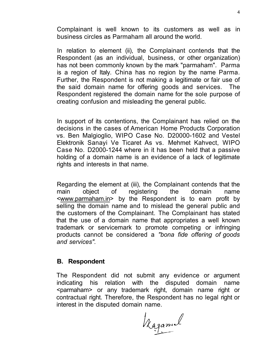Complainant is well known to its customers as well as in business circles as Parmaham all around the world.

In relation to element (ii), the Complainant contends that the Respondent (as an individual, business, or other organization) has not been commonly known by the mark "parmaham". Parma is a region of Italy. China has no region by the name Parma. Further, the Respondent is not making a legitimate or fair use of the said domain name for offering goods and services. The Respondent registered the domain name for the sole purpose of creating confusion and misleading the general public.

In support of its contentions, the Complainant has relied on the decisions in the cases of American Home Products Corporation vs. Ben Malgioglio, WIPO Case No. D20000-1602 and Vestel Elektronik Sanayi Ve Ticaret As vs. Mehmet Kahvect, WIPO Case No. D2000-1244 where in it has been held that a passive holding of a domain name is an evidence of a lack of legitimate rights and interests in that name.

Regarding the element at (iii), the Complainant contends that the main object of registering the domain name [<www.parmaham.in>](http://www.parmaham.in) by the Respondent is to earn profit by selling the domain name and to mislead the general public and the customers of the Complainant. The Complainant has stated that the use of a domain name that appropriates a well known trademark or servicemark to promote competing or infringing products cannot be considered a *"bona fide offering of goods and services".* 

# **B. Respondent**

The Respondent did not submit any evidence or argument indicating his relation with the disputed domain name <parmaham> or any trademark right, domain name right or contractual right. Therefore, the Respondent has no legal right or interest in the disputed domain name.

Kagamel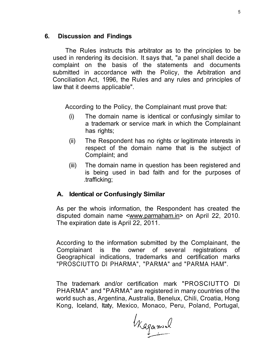#### **6. Discussion and Findings**

The Rules instructs this arbitrator as to the principles to be used in rendering its decision. It says that, "a panel shall decide a complaint on the basis of the statements and documents submitted in accordance with the Policy, the Arbitration and Conciliation Act, 1996, the Rules and any rules and principles of law that it deems applicable".

According to the Policy, the Complainant must prove that:

- (i) The domain name is identical or confusingly similar to a trademark or service mark in which the Complainant has rights;
- (ii) The Respondent has no rights or legitimate interests in respect of the domain name that is the subject of Complaint; and
- (iii) The domain name in question has been registered and is being used in bad faith and for the purposes of .trafficking;

#### **A. Identical or Confusingly Similar**

As per the whois information, the Respondent has created the disputed domain name [<www.parmaham.in>](http://www.parmaham.in) on April 22, 2010. The expiration date is April 22, 2011.

According to the information submitted by the Complainant, the Complainant is the owner of several registrations of Geographical indications, trademarks and certification marks "PROSCIUTTO Dl PHARMA", "PARMA" and "PARMA HAM".

The trademark and/or certification mark "PROSCIUTTO Dl PHARMA" and "PARMA" are registered in many countries of the world such as, Argentina, Australia, Benelux, Chili, Croatia, Hong Kong, Iceland, Itaty, Mexico, Monaco, Peru, Poland, Portugal,

Kagamel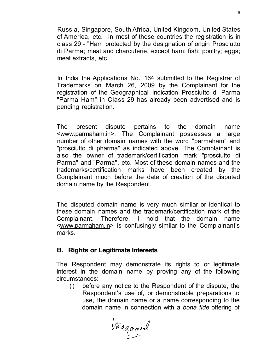Russia, Singapore, South Africa, United Kingdom, United States of America, etc. In most of these countries the registration is in class 29 - "Ham protected by the designation of origin Prosciutto di Parma; meat and charcuterie, except ham; fish; poultry; eggs; meat extracts, etc.

In India the Applications No. 164 submitted to the Registrar of Trademarks on March 26, 2009 by the Complainant for the registration of the Geographical Indication Prosciutto di Parma "Parma Ham" in Class 29 has already been advertised and is pending registration.

The present dispute pertains to the domain name [<www.parmaham.in>.](http://www.parmaham.in) The Complainant possesses a large number of other domain names with the word "parmaham" and "prosciutto di pharma" as indicated above. The Complainant is also the owner of trademark/certification mark "prosciutto di Parma" and "Parma", etc. Most of these domain names and the trademarks/certification marks have been created by the Complainant much before the date of creation of the disputed domain name by the Respondent.

The disputed domain name is very much similar or identical to these domain names and the trademark/certification mark of the Complainant. Therefore, I hold that the domain name <[www.parmaham.in>](http://www.parmaham.in) is confusingly similar to the Complainant's marks.

# **B. Rights or Legitimate Interests**

The Respondent may demonstrate its rights to or legitimate interest in the domain name by proving any of the following circumstances:

(i) before any notice to the Respondent of the dispute, the Respondent's use of, or demonstrable preparations to use, the domain name or a name corresponding to the domain name in connection with a *bona fide* offering of

Wagamil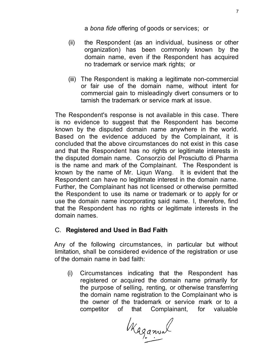a *bona fide* offering of goods or services; or

- (ii) the Respondent (as an individual, business or other organization) has been commonly known by the domain name, even if the Respondent has acquired no trademark or service mark rights; or
- (iii) The Respondent is making a legitimate non-commercial or fair use of the domain name, without intent for commercial gain to misleadingly divert consumers or to tarnish the trademark or service mark at issue.

The Respondent's response is not available in this case. There is no evidence to suggest that the Respondent has become known by the disputed domain name anywhere in the world. Based on the evidence adduced by the Complainant, it is concluded that the above circumstances do not exist in this case and that the Respondent has no rights or legitimate interests in the disputed domain name. Consorzio del Prosciutto di Pharma is the name and mark of the Complainant. The Respondent is known by the name of Mr. Liqun Wang. It is evident that the Respondent can have no legitimate interest in the domain name. Further, the Complainant has not licensed or otherwise permitted the Respondent to use its name or trademark or to apply for or use the domain name incorporating said name. I, therefore, find that the Respondent has no rights or legitimate interests in the domain names.

# C. **Registered and Used in Bad Faith**

Any of the following circumstances, in particular but without limitation, shall be considered evidence of the registration or use of the domain name in bad faith:

(i) Circumstances indicating that the Respondent has registered or acquired the domain name primarily for the purpose of selling, renting, or otherwise transferring the domain name registration to the Complainant who is the owner of the trademark or service mark or to a competitor of that Complainant, for valuable

Kaganval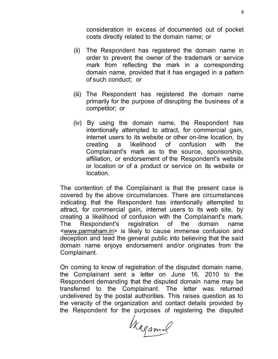consideration in excess of documented out of pocket costs directly related to the domain name; or

- (ii) The Respondent has registered the domain name in order to prevent the owner of the trademark or service mark from reflecting the mark in a corresponding domain name, provided that it has engaged in a pattern of such conduct; or
- (iii) The Respondent has registered the domain name primarily for the purpose of disrupting the business of a competitor; or
- (iv) By using the domain name, the Respondent has intentionally attempted to attract, for commercial gain, internet users to its website or other on-line location, by creating a likelihood of confusion with the Complainant's mark as to the source, sponsorship, affiliation, or endorsement of the Respondent's website or location or of a product or service on its website or location.

The contention of the Complainant is that the present case is covered by the above circumstances. There are circumstances indicating that the Respondent has intentionally attempted to attract, for commercial gain, internet users to its web site, by creating a likelihood of confusion with the Complainant's mark. The Respondent's registration of the domain name <[www.parmaham.in>](http://www.parmaham.in) is likely to cause immense confusion and deception and lead the general public into believing that the said domain name enjoys endorsement and/or originates from the Complainant.

On coming to know of registration of the disputed domain name, the Complainant sent a letter on June 16, 2010 to the Respondent demanding that the disputed domain name may be transferred to the Complainant. The letter was returned undelivered by the postal authorities. This raises question as to the veracity of the organization and contact details provided by the Respondent for the purposes of registering the disputed

Kagamil